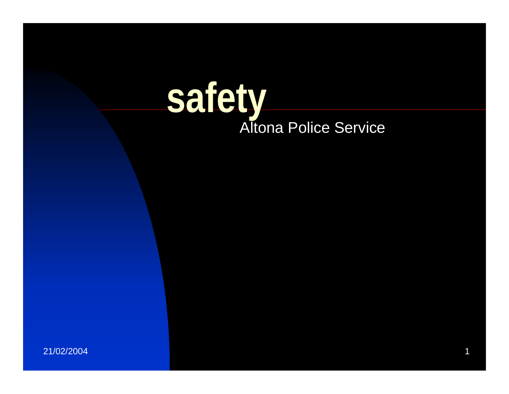# **safety**Altona Police Service

21/02/2004 $4 \pm 4$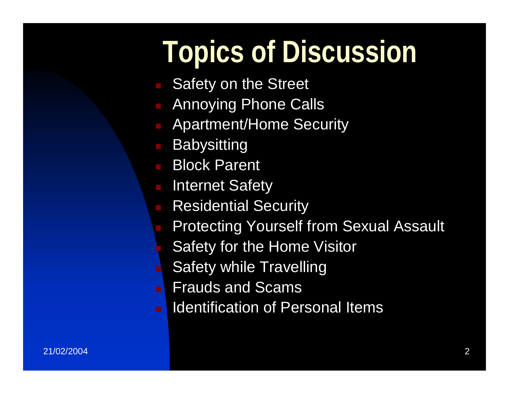### **Topics of Discussion**

- Safety on the Street
- Annoying Phone Calls
- Apartment/Home Security
- **Babysitting**
- **Block Parent**
- Internet Safety
- **Residential Security** 
	- Protecting Yourself from Sexual Assault
	- Safety for the Home Visitor
	- Safety while Travelling
- Frauds and Scams
- Identification of Personal Items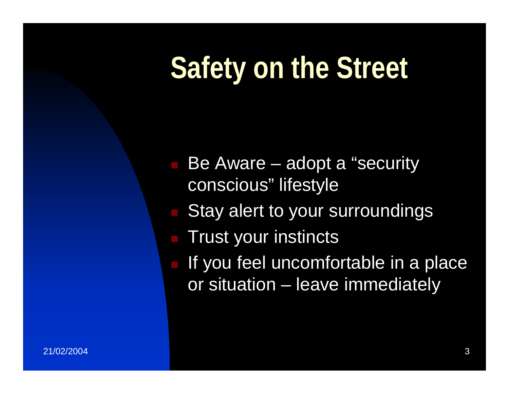### **Safety on the Street**

 Be Aware – adopt a "security conscious" lifestyle

- Stay alert to your surroundings
- $\blacksquare$  Trust your instincts
- If you feel uncomfortable in a place or situation – leave immediately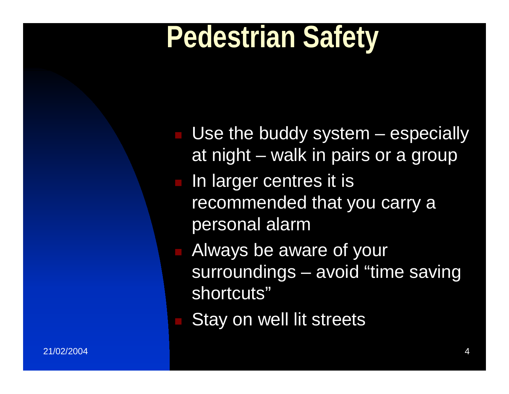### **Pedestrian Safety**

- Use the buddy system especially at night – walk in pairs or a group
- In larger centres it is recommended that you carry a personal alarm
- Always be aware of your surroundings – avoid "time saving shortcuts"
- Stay on well lit streets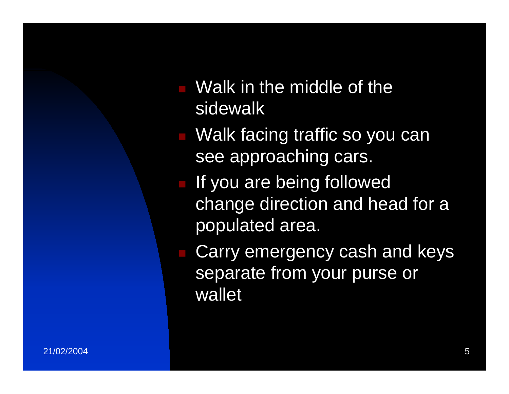- Walk in the middle of the sidewalk
- Walk facing traffic so you can see approaching cars.
- **If you are being followed** change direction and head for a populated area.

 Carry emergency cash and keys separate from your purse or wallet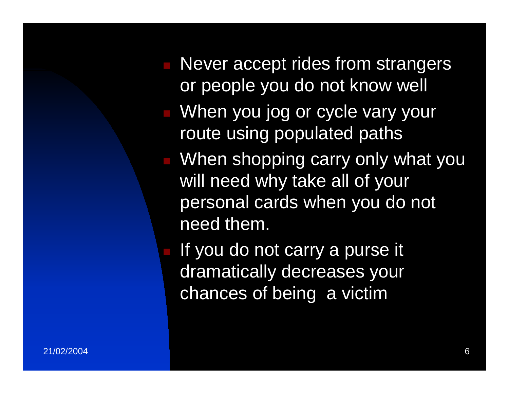- Never accept rides from strangers or people you do not know well **Notaka Strate vary your University Contract Control** route using populated paths When shopping carry only what you will need why take all of your personal cards when you do not need them.
	- If you do not carry a purse it dramatically decreases your chances of being a victim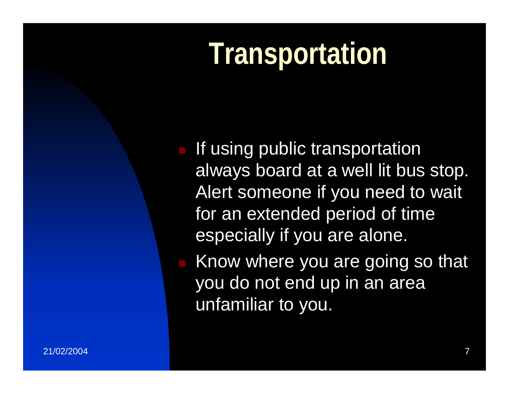### **Transportation**

**If using public transportation** always board at a well lit bus stop. Alert someone if you need to wait for an extended period of time especially if you are alone.

 Know where you are going so that you do not end up in an area unfamiliar to you.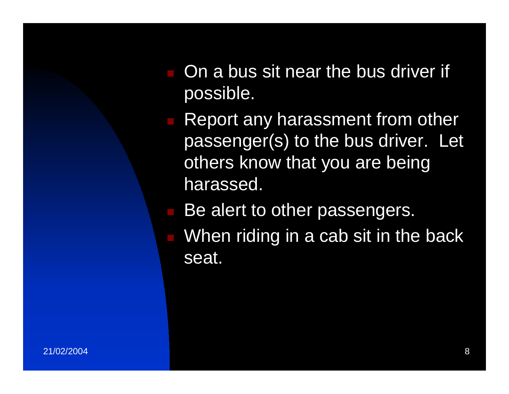- On a bus sit near the bus driver if possible.
- **Report any harassment from other** passenger(s) to the bus driver. Let others know that you are being harassed.
- Be alert to other passengers.
- When riding in a cab sit in the back seat.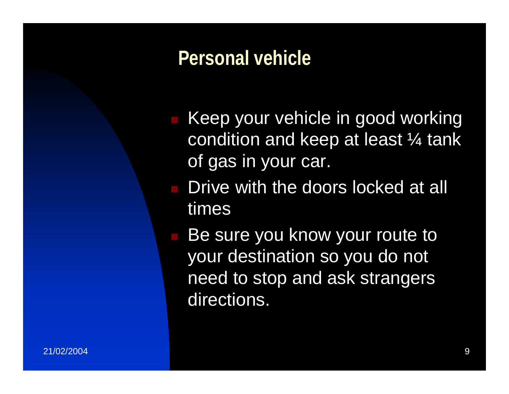#### **Personal vehicle**

- Keep your vehicle in good working condition and keep at least ¼ tank of gas in your car.
- **Drive with the doors locked at all** times
- **Be sure you know your route to** your destination so you do not need to stop and ask strangers directions.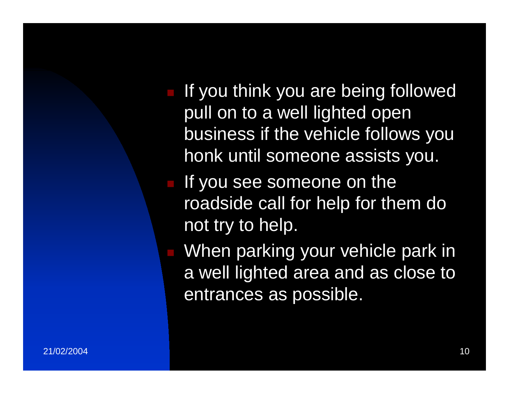- If you think you are being followed pull on to a well lighted open business if the vehicle follows you honk until someone assists you.
- If you see someone on the roadside call for help for them do not try to help.
- When parking your vehicle park in a well lighted area and as close to entrances as possible.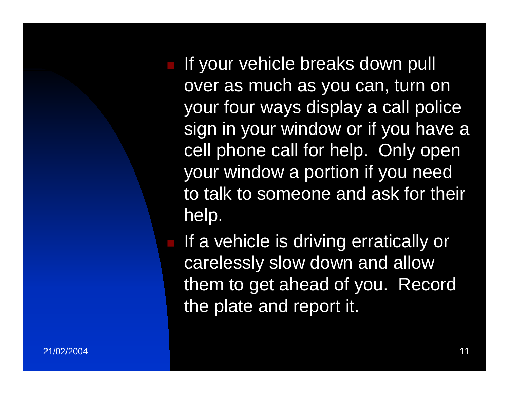If your vehicle breaks down pull over as much as you can, turn on your four ways display a call police sign in your window or if you have a cell phone call for help. Only open your window a portion if you need to talk to someone and ask for their help.

**If a vehicle is driving erratically or** carelessly slow down and allow them to get ahead of you. Record the plate and report it.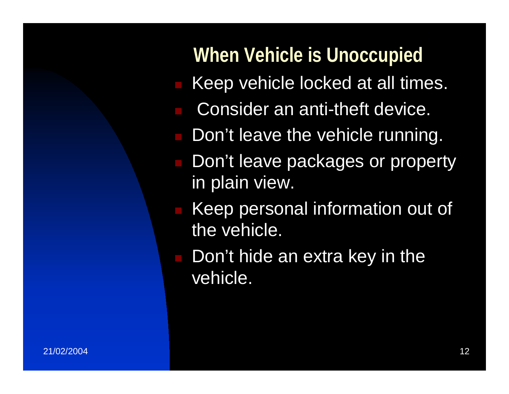#### **When Vehicle is Unoccupied**

- Keep vehicle locked at all times.
- Consider an anti-theft device.
- Don't leave the vehicle running.
- Don't leave packages or property in plain view.
- Keep personal information out of the vehicle.
- Don't hide an extra key in the vehicle.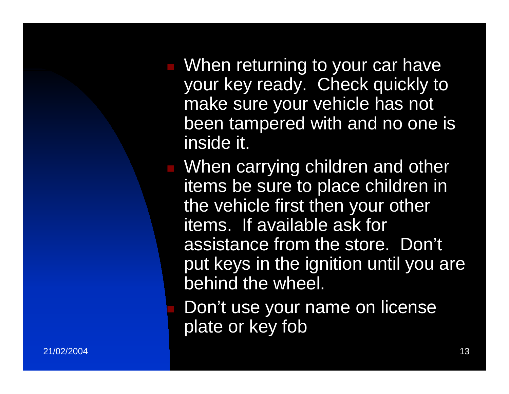**Notable 1 When returning to your car have** your key ready. Check quickly to make sure your vehicle has not been tampered with and no one is inside it.

**Notal Millen Carrying children and other** items be sure to place children in the vehicle first then your other items. If available ask for assistance from the store. Don't put keys in the ignition until you are behind the wheel.

 Don't use your name on license plate or key fob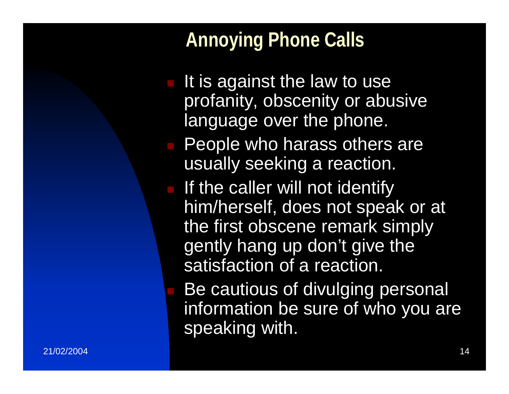#### **Annoying Phone Calls**

speaking with.

- It is against the law to use profanity, obscenity or abusive language over the phone. **People who harass others are** usually seeking a reaction. **If the caller will not identify** him/herself, does not speak or at the first obscene remark simply gently hang up don't give the satisfaction of a reaction. Be cautious of divulging personal information be sure of who you are
- 21/02/200414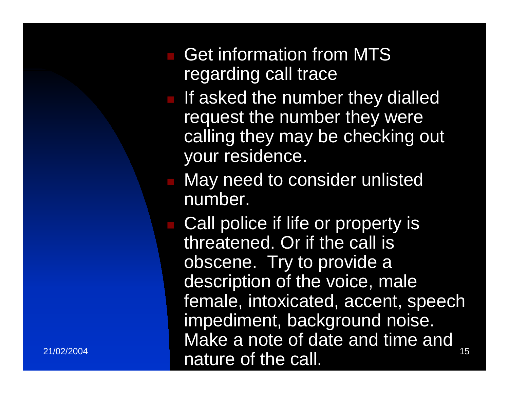#### Get information from MTS regarding call trace

- **If asked the number they dialled** request the number they were calling they may be checking out your residence.
- **Nay need to consider unlisted** number.
- $15$  nature of the call.  $15$ **Call police if life or property is** threatened. Or if the call is obscene. Try to provide a description of the voice, male female, intoxicated, accent, speech impediment, background noise. Make a note of date and time and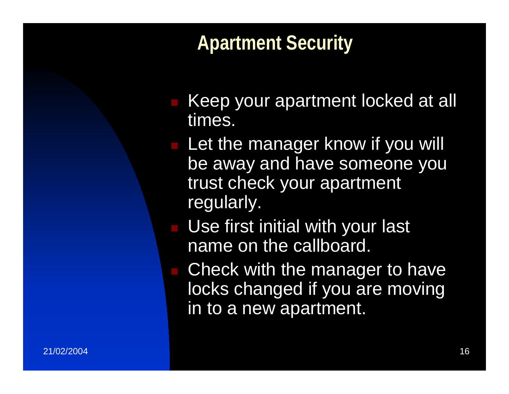#### **Apartment Security**

- Keep your apartment locked at all times.
- **Let the manager know if you will** be away and have someone you trust check your apartment regularly.
- **Use first initial with your last** name on the callboard.
- Check with the manager to have locks changed if you are moving in to a new apartment.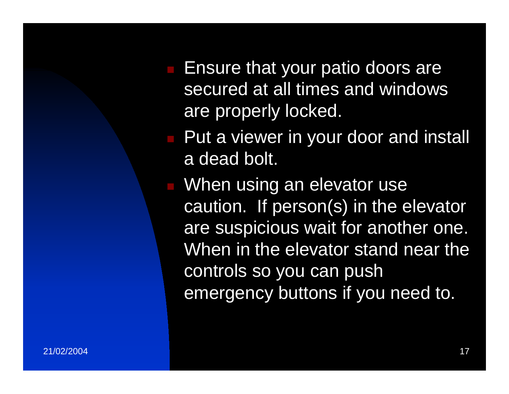**Ensure that your patio doors are** secured at all times and windows are properly locked.

**Put a viewer in your door and install** a dead bolt.

**Nhen using an elevator use** caution. If person(s) in the elevator are suspicious wait for another one. When in the elevator stand near the controls so you can push emergency buttons if you need to.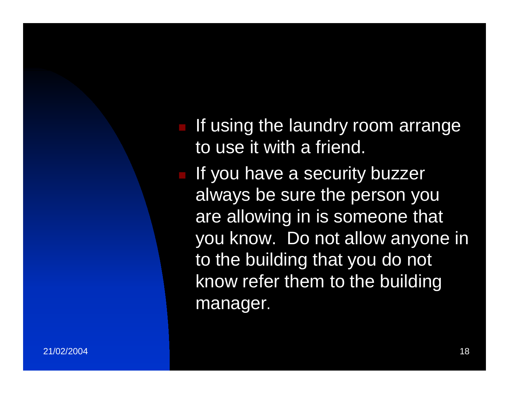$\blacksquare$  If using the laundry room arrange to use it with a friend.

**If you have a security buzzer** always be sure the person you are allowing in is someone that you know. Do not allow anyone in to the building that you do not know refer them to the building manager.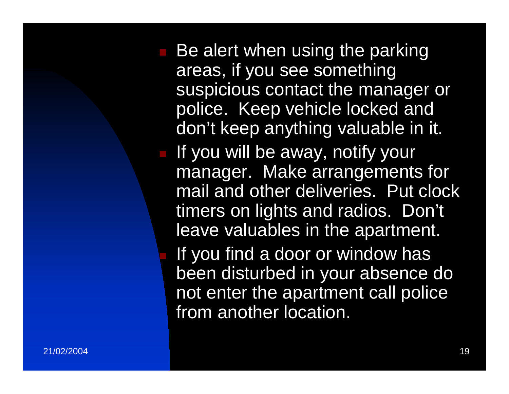Be alert when using the parking areas, if you see something suspicious contact the manager or police. Keep vehicle locked and don't keep anything valuable in it. If you will be away, notify your manager. Make arrangements for mail and other deliveries. Put clock timers on lights and radios. Don't leave valuables in the apartment. If you find a door or window has been disturbed in your absence do not enter the apartment call police from another location.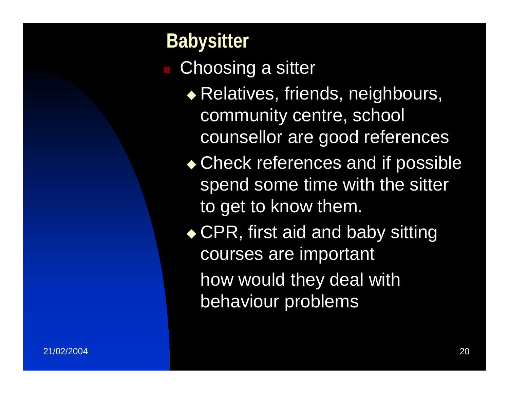**Babysitter**  Choosing a sitter ◆ Relatives, friends, neighbours, community centre, school counsellor are good references ◆ Check references and if possible spend some time with the sitter to get to know them. ◆ CPR, first aid and baby sitting courses are important how would they deal with behaviour problems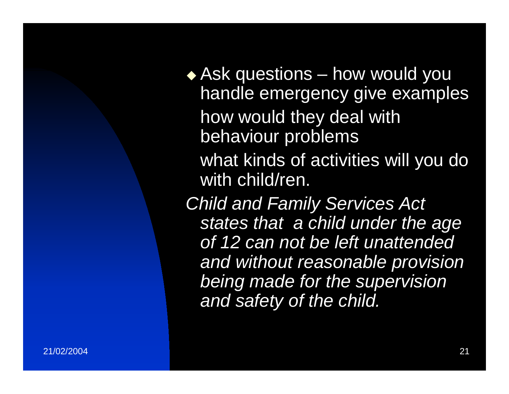Ask questions – how would you handle emergency give examples how would they deal with behaviour problems

what kinds of activities will you do with child/ren.

*Child and Family Services Act states that a child under the age of 12 can not be left unattended and without reasonable provision being made for the supervision and safety of the child.*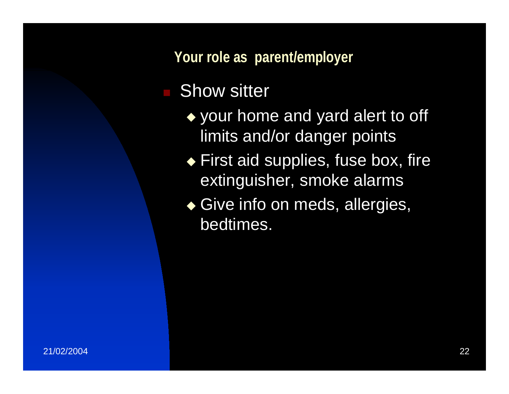**Your role as parent/employer**

#### Show sitter

- ◆ your home and yard alert to off limits and/or danger points
- ◆ First aid supplies, fuse box, fire extinguisher, smoke alarms
- ◆ Give info on meds, allergies, bedtimes.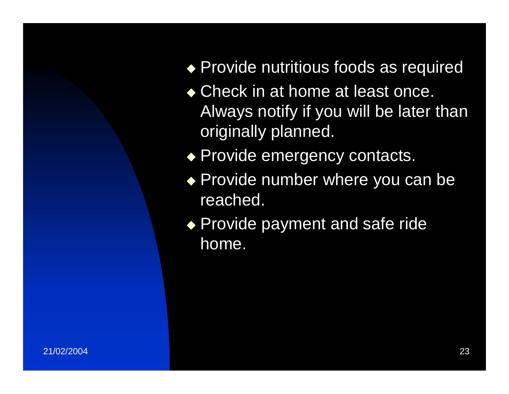◆ Provide nutritious foods as required

- ◆ Check in at home at least once. Always notify if you will be later than originally planned.
- ◆ Provide emergency contacts.
- ◆ Provide number where you can be reached.
- ◆ Provide payment and safe ride home.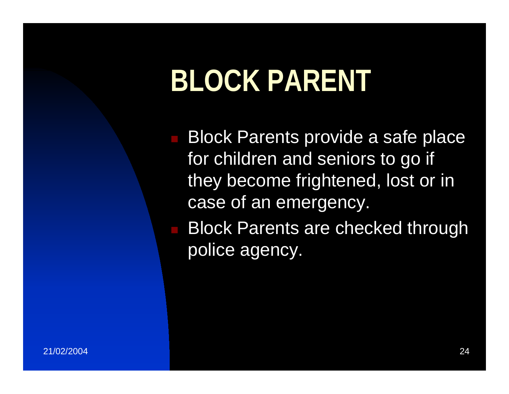### **BLOCK PARENT**

**Block Parents provide a safe place** for children and seniors to go if they become frightened, lost or in case of an emergency.

 Block Parents are checked through police agency.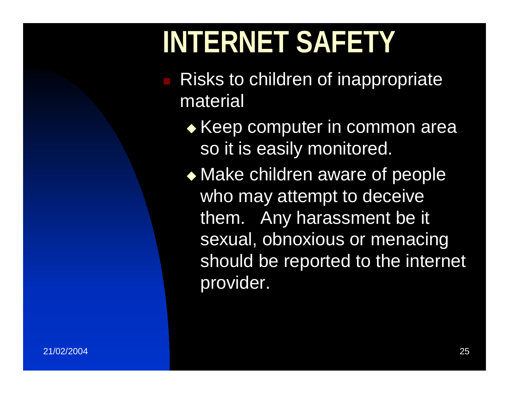### **INTERNET SAFETY**

- Risks to children of inappropriate material
	- $\bullet$  Keep computer in common area so it is easily monitored.
	- ◆ Make children aware of people who may attempt to deceive them. Any harassment be it sexual, obnoxious or menacing should be reported to the internet provider.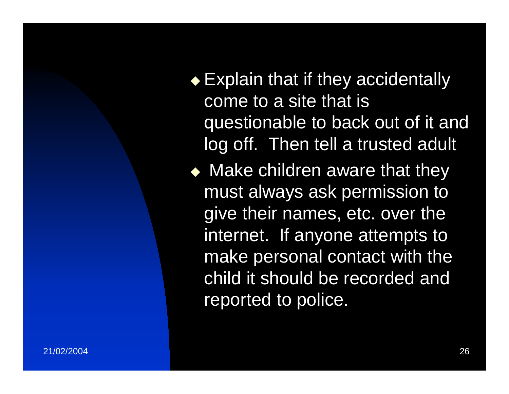◆ Explain that if they accidentally come to a site that is questionable to back out of it and log off. Then tell a trusted adult

 $\blacklozenge$  Make children aware that they must always ask permission to give their names, etc. over the internet. If anyone attempts to make personal contact with the child it should be recorded and reported to police.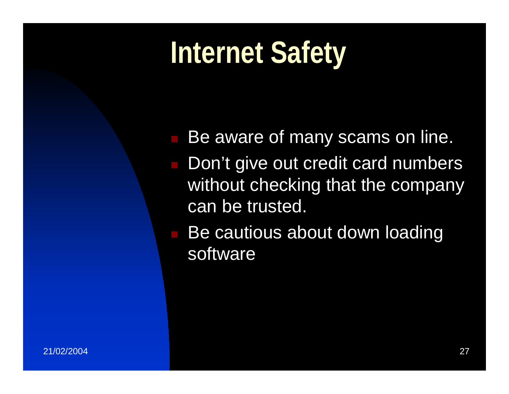### **Internet Safety**

 Be aware of many scams on line. Don't give out credit card numbers without checking that the company can be trusted.

 Be cautious about down loading software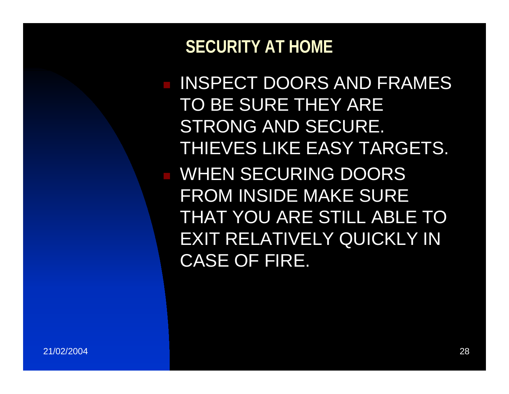#### **SECURITY AT HOME**

 INSPECT DOORS AND FRAMES TO BE SURE THEY ARE STRONG AND SECURE. THIEVES LIKE EASY TARGETS. **NHEN SECURING DOORS** FROM INSIDE MAKE SURE THAT YOU ARE STILL ABLE TO EXIT RELATIVELY QUICKLY IN CASE OF FIRE.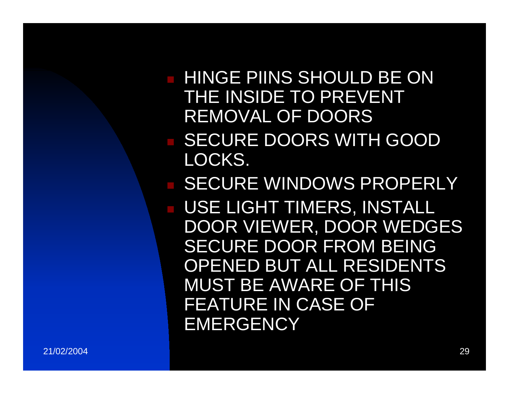**HINGE PIINS SHOULD BE ON** THE INSIDE TO PREVENT REMOVAL OF DOORS**BECURE DOORS WITH GOOD** LOCKS. **BECURE WINDOWS PROPERLY**  USE LIGHT TIMERS, INSTALL DOOR VIEWER, DOOR WEDGES SECURE DOOR FROM BEING OPENED BUT ALL RESIDENTS MUST BE AWARE OF THIS FEATURE IN CASE OF **EMERGENCY**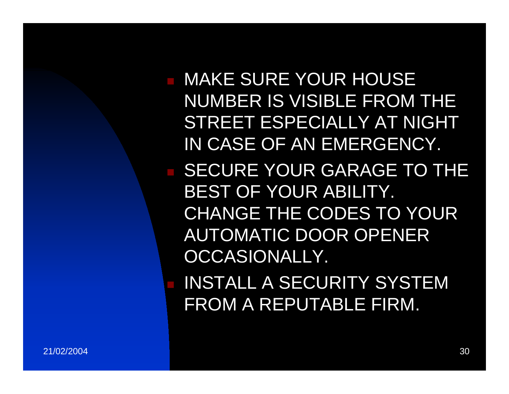MAKE SURE YOUR HOUSE NUMBER IS VISIBLE FROM THE STREET ESPECIALLY AT NIGHT IN CASE OF AN EMERGENCY. **BECURE YOUR GARAGE TO THE** BEST OF YOUR ABILITY. CHANGE THE CODES TO YOUR AUTOMATIC DOOR OPENER OCCASIONALLY.

 INSTALL A SECURITY SYSTEM FROM A REPUTABLE FIRM.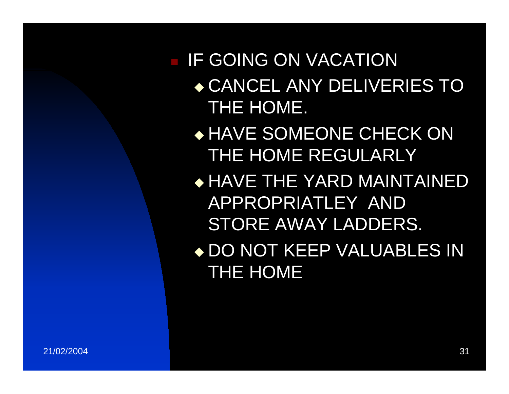#### IF GOING ON VACATION CANCEL ANY DELIVERIES TO THE HOME.

- HAVE SOMEONE CHECK ON THE HOME REGULARLY
- HAVE THE YARD MAINTAINED APPROPRIATLEY AND STORE AWAY LADDERS.
- DO NOT KEEP VALUABLES IN THE HOME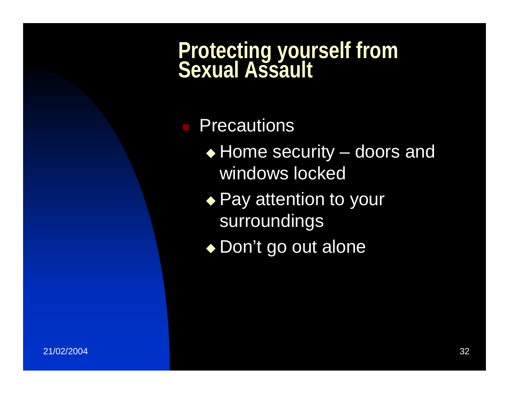# **Protecting yourself from**

#### ■ Precautions

- ◆ Home security doors and windows locked
- ◆ Pay attention to your surroundings
- ◆ Don't go out alone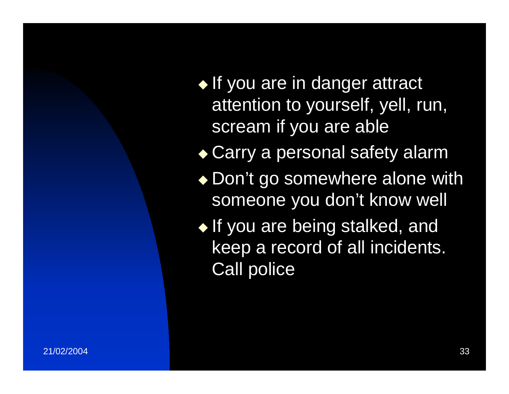$\blacklozenge$  If you are in danger attract attention to yourself, yell, run, scream if you are able

◆ Carry a personal safety alarm

◆ Don't go somewhere alone with someone you don't know well

 $\blacklozenge$  If you are being stalked, and keep a record of all incidents. Call police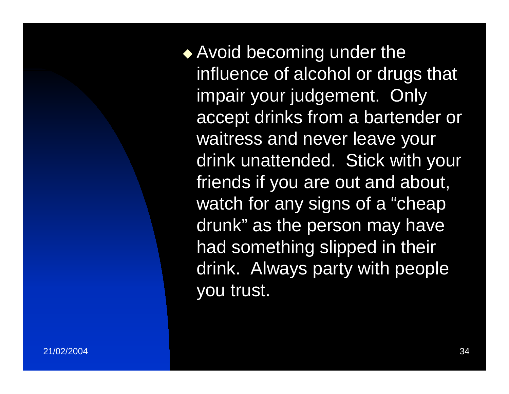◆ Avoid becoming under the influence of alcohol or drugs that impair your judgement. Only accept drinks from a bartender or waitress and never leave your drink unattended. Stick with your friends if you are out and about, watch for any signs of a "cheap drunk" as the person may have had something slipped in their drink. Always party with people you trust.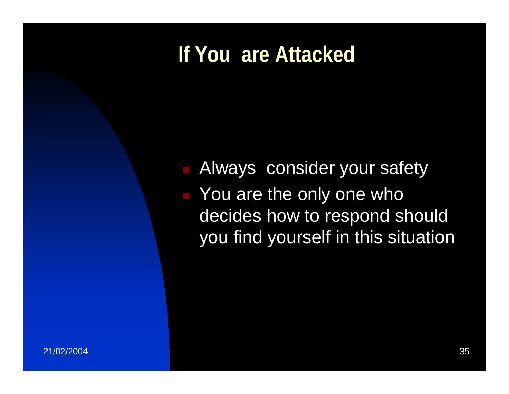#### **If You are Attacked**

**Always consider your safety The You are the only one who** decides how to respond should you find yourself in this situation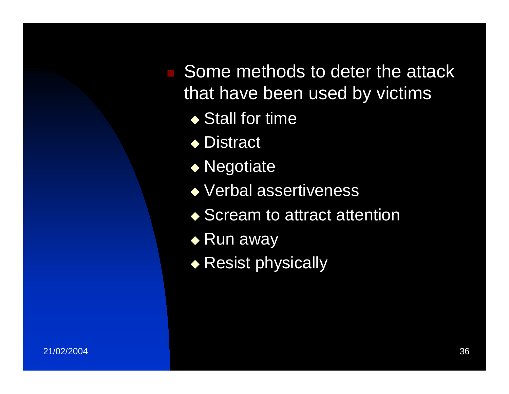Some methods to deter the attack that have been used by victims

- ◆ Stall for time
- ◆ Distract
- ◆ Negotiate
- Verbal assertiveness
- ◆ Scream to attract attention
- $\blacklozenge$  Run away
- ◆ Resist physically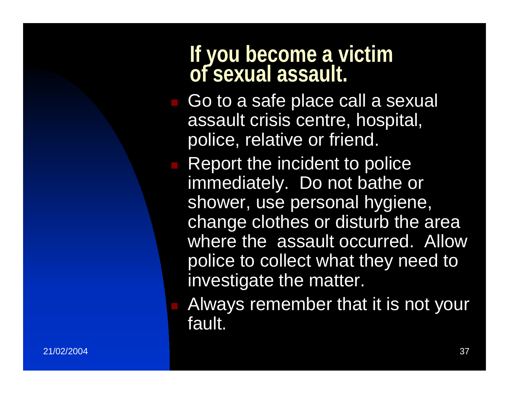# **If you become a victim of sexual assault.**

- Go to a safe place call a sexual assault crisis centre, hospital, police, relative or friend.
- **Report the incident to police** immediately. Do not bathe or shower, use personal hygiene, change clothes or disturb the area where the assault occurred. Allow police to collect what they need to investigate the matter.
	- Always remember that it is not your fault.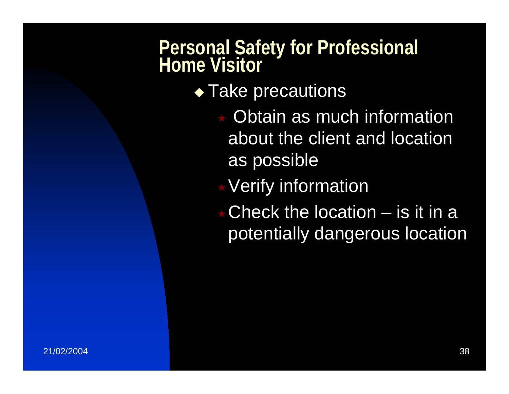## **Personal Safety for Professional Home Visitor**

- $\bullet$  Take precautions
	- Obtain as much information about the client and location as possible
	- Verify information
	- Check the location is it in a potentially dangerous location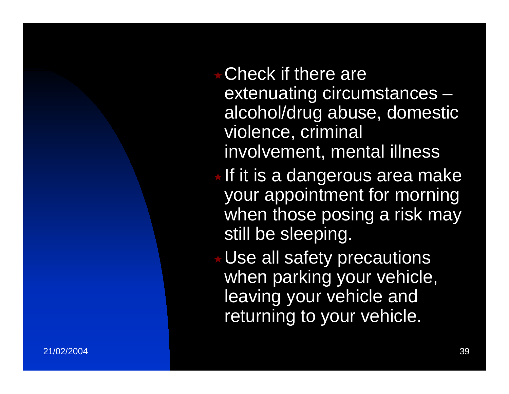- Check if there are extenuating circumstances – alcohol/drug abuse, domestic violence, criminal involvement, mental illness
- If it is a dangerous area make your appointment for morning when those posing a risk may still be sleeping.

Use all safety precautions when parking your vehicle, leaving your vehicle and returning to your vehicle.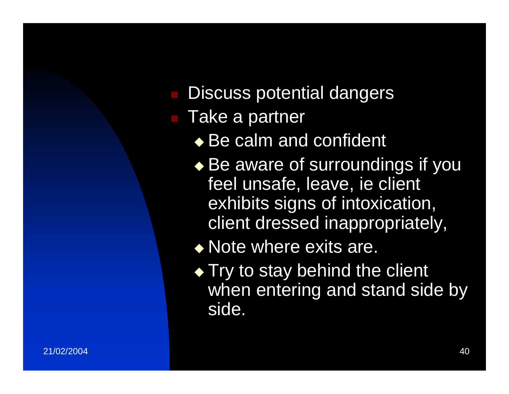- Discuss potential dangers
- Take a partner
	- ◆ Be calm and confident
	- $\bullet$  Be aware of surroundings if you feel unsafe, leave, ie client exhibits signs of intoxication, client dressed inappropriately,
	- Note where exits are.
	- $\blacklozenge$  Try to stay behind the client when entering and stand side by side.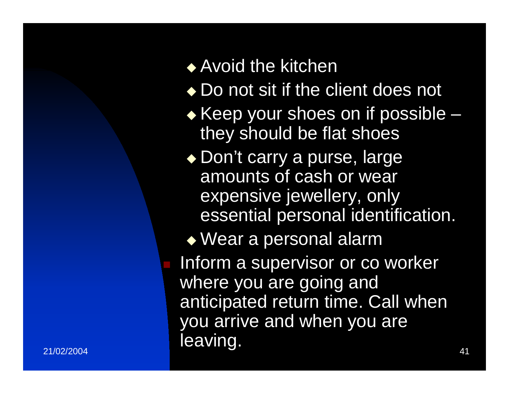#### ◆ Avoid the kitchen

- ◆ Do not sit if the client does not
- $\bullet$  Keep your shoes on if possible they should be flat shoes
- ◆ Don't carry a purse, large amounts of cash or wear expensive jewellery, only essential personal identification.

 Wear a personal alarm Inform a supervisor or co worker

 $\sim$  41  $\sim$  41 where you are going and anticipated return time. Call when you arrive and when you are leaving.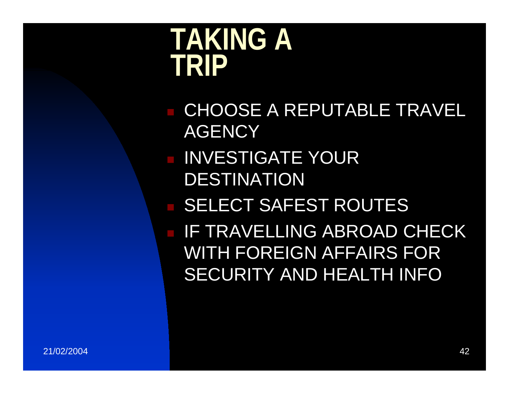### **TAKING A TRIP**

**E CHOOSE A REPUTABLE TRAVEL AGENCY INVESTIGATE YOUR** DESTINATION **BELECT SAFEST ROUTES E IF TRAVELLING ABROAD CHECK** WITH FOREIGN AFFAIRS FOR SECURITY AND HEALTH INFO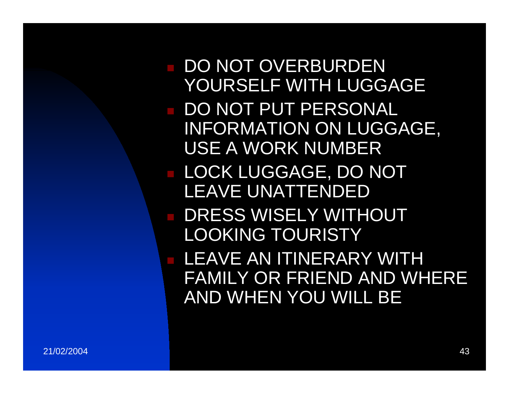DO NOT OVERBURDEN YOURSELF WITH LUGGAGE ■ DO NOT PUT PERSONAL INFORMATION ON LUGGAGE, USE A WORK NUMBER LOCK LUGGAGE, DO NOT LEAVE UNATTENDED**DRESS WISELY WITHOUT** LOOKING TOURISTY LEAVE AN ITINERARY WITH FAMILY OR FRIEND AND WHERE AND WHEN YOU WILL BE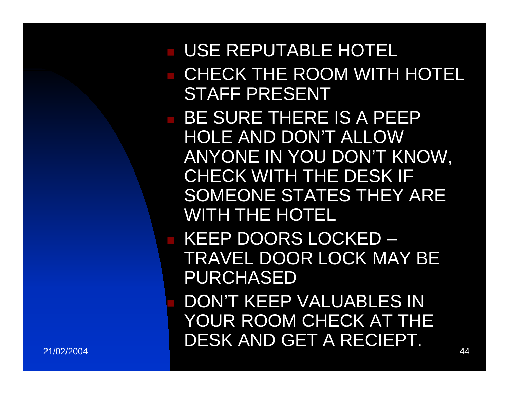#### USE REPUTABLE HOTEL **E CHECK THE ROOM WITH HOTEL** STAFF PRESENT**BE SURE THERE IS A PEEP** HOLE AND DON'T ALLOW ANYONE IN YOU DON'T KNOW, CHECK WITH THE DESK IF SOMEONE STATES THEY ARE WITH THE HOTEL■ KEEP DOORS LOCKED –

TRAVEL DOOR LOCK MAY BE PURCHASED

 44 DON'T KEEP VALUABLES IN YOUR ROOM CHECK AT THE DESK AND GET A RECIEPT.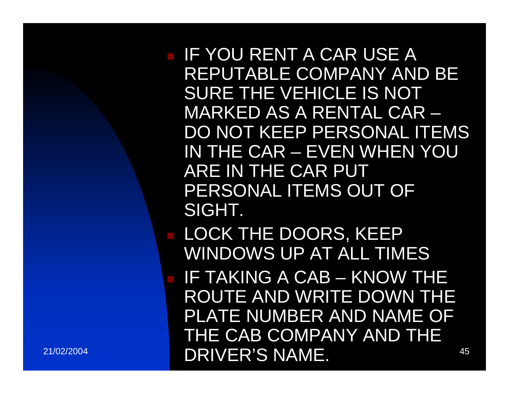**IF YOU RENT A CAR USE A** REPUTABLE COMPANY AND BE SURE THE VEHICLE IS NOT MARKED AS A RENTAL CAR –DO NOT KEEP PERSONAL ITEMS IN THE CAR – EVEN WHEN YOU ARE IN THE CAR PUT PERSONAL ITEMS OUT OF SIGHT. LOCK THE DOORS, KEEP WINDOWS UP AT ALL TIMES IF TAKING A CAB – KNOW THE ROUTE AND WRITE DOWN THE PLATE NUMBER AND NAME OF

THE CAB COMPANY AND THE

21/02/2004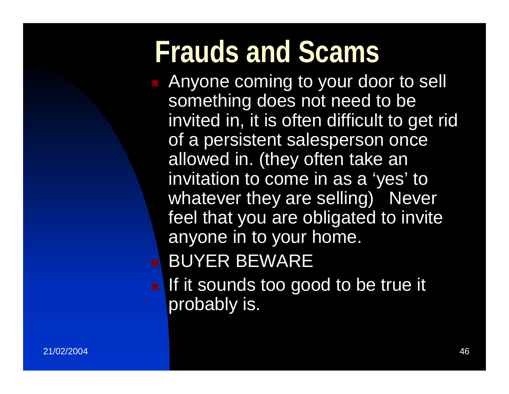### **Frauds and Scams**

**Anyone coming to your door to sell** something does not need to be invited in, it is often difficult to get rid of a persistent salesperson once allowed in. (they often take an invitation to come in as a 'yes' to whatever they are selling) Never feel that you are obligated to invite anyone in to your home. BUYER BEWARE

**If it sounds too good to be true it** probably is.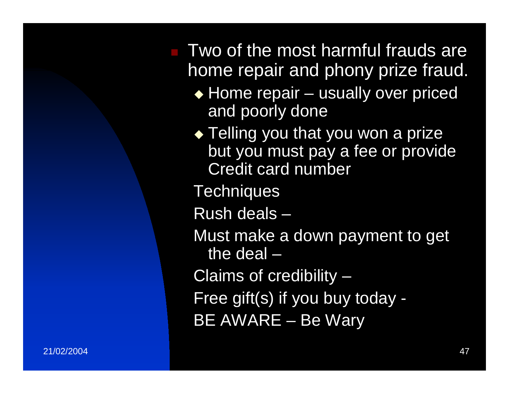Two of the most harmful frauds are home repair and phony prize fraud.

- ◆ Home repair usually over priced and poorly done
- $\bullet$  Telling you that you won a prize but you must pay a fee or provide Credit card number
- **Techniques**
- Rush deals –
- Must make a down payment to get the deal –
- Claims of credibility –
- Free gift(s) if you buy today -
- BE AWARE Be Wary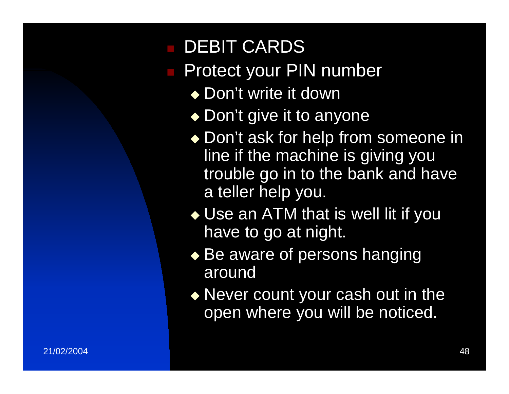#### DEBIT CARDS

- Protect your PIN number
	- ◆ Don't write it down
	- ◆ Don't give it to anyone
	- ◆ Don't ask for help from someone in line if the machine is giving you trouble go in to the bank and have a teller help you.
	- ◆ Use an ATM that is well lit if you have to go at night.
	- $\blacklozenge$  Be aware of persons hanging around
	- Never count your cash out in the open where you will be noticed.